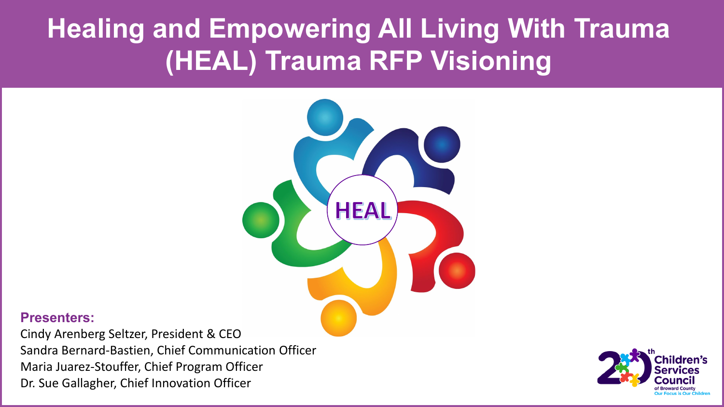#### **Healing and Empowering All Living With Trauma (HEAL) Trauma RFP Visioning**



#### **Presenters:**

Cindy Arenberg Seltzer, President & CEO Sandra Bernard-Bastien, Chief Communication Officer Maria Juarez-Stouffer, Chief Program Officer Dr. Sue Gallagher, Chief Innovation Officer

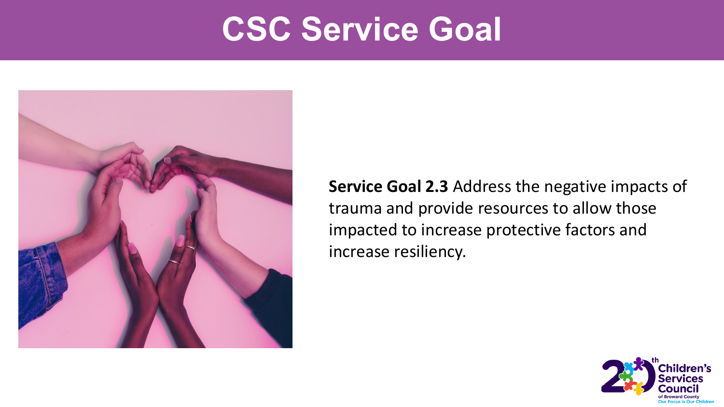#### **CSC Service Goal**



**Service Goal 2.3** Address the negative impacts of trauma and provide resources to allow those impacted to increase protective factors and increase resiliency.

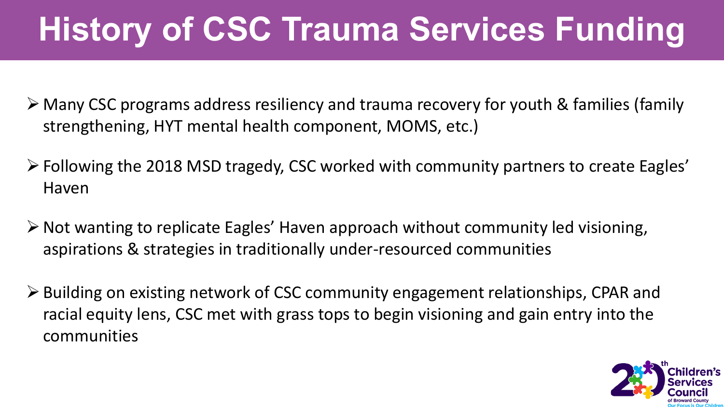# **History of CSC Trauma Services Funding**

- Many CSC programs address resiliency and trauma recovery for youth & families (family strengthening, HYT mental health component, MOMS, etc.)
- Following the 2018 MSD tragedy, CSC worked with community partners to create Eagles' Haven
- Not wanting to replicate Eagles' Haven approach without community led visioning, aspirations & strategies in traditionally under-resourced communities
- Building on existing network of CSC community engagement relationships, CPAR and racial equity lens, CSC met with grass tops to begin visioning and gain entry into the communities

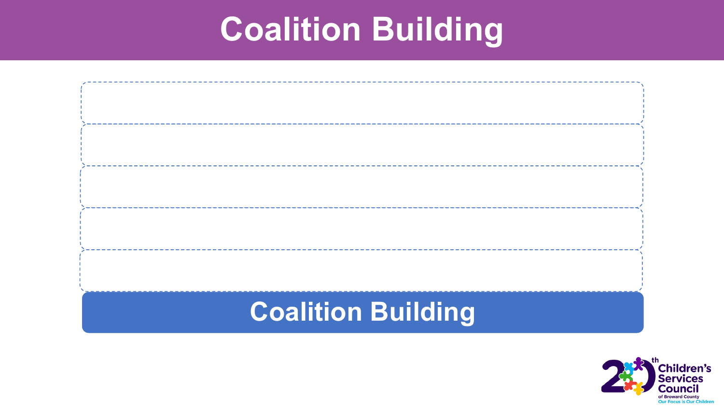#### **Coalition Building**



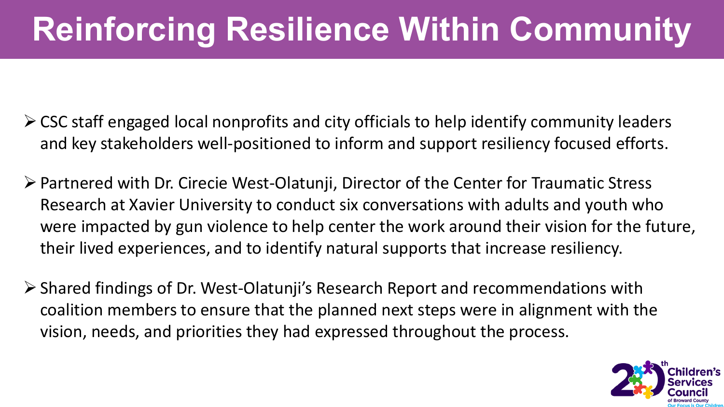# **Reinforcing Resilience Within Community**

- $\triangleright$  CSC staff engaged local nonprofits and city officials to help identify community leaders and key stakeholders well-positioned to inform and support resiliency focused efforts.
- Partnered with Dr. Cirecie West-Olatunji, Director of the Center for Traumatic Stress Research at Xavier University to conduct six conversations with adults and youth who were impacted by gun violence to help center the work around their vision for the future, their lived experiences, and to identify natural supports that increase resiliency.
- Shared findings of Dr. West-Olatunji's Research Report and recommendations with coalition members to ensure that the planned next steps were in alignment with the vision, needs, and priorities they had expressed throughout the process.

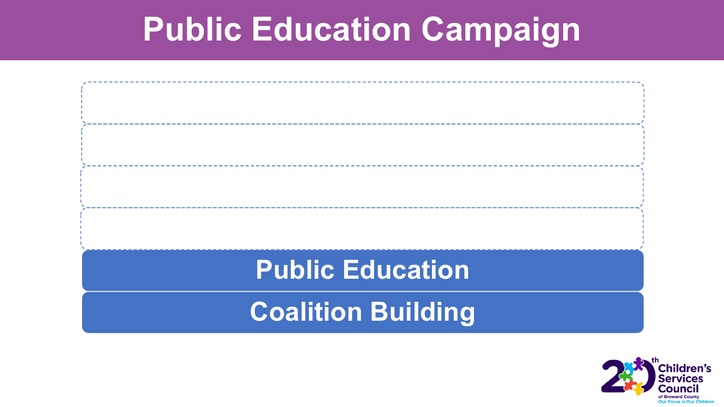#### **Public Education Campaign**



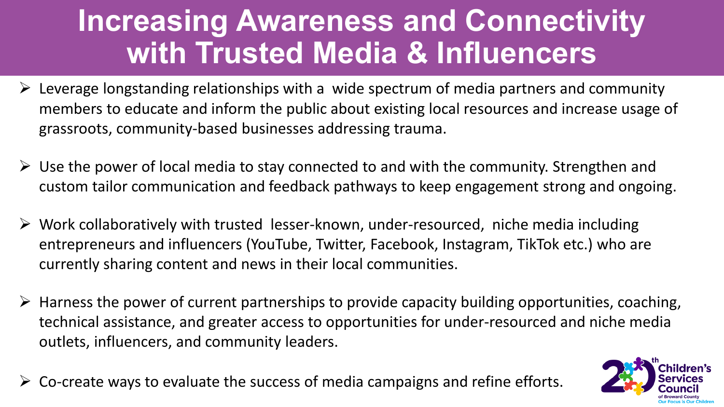#### **Increasing Awareness and Connectivity with Trusted Media & Influencers**

- $\triangleright$  Leverage longstanding relationships with a wide spectrum of media partners and community members to educate and inform the public about existing local resources and increase usage of grassroots, community-based businesses addressing trauma.
- $\triangleright$  Use the power of local media to stay connected to and with the community. Strengthen and custom tailor communication and feedback pathways to keep engagement strong and ongoing.
- $\triangleright$  Work collaboratively with trusted lesser-known, under-resourced, niche media including entrepreneurs and influencers (YouTube, Twitter, Facebook, Instagram, TikTok etc.) who are currently sharing content and news in their local communities.
- $\triangleright$  Harness the power of current partnerships to provide capacity building opportunities, coaching, technical assistance, and greater access to opportunities for under-resourced and niche media outlets, influencers, and community leaders.
- $\triangleright$  Co-create ways to evaluate the success of media campaigns and refine efforts.

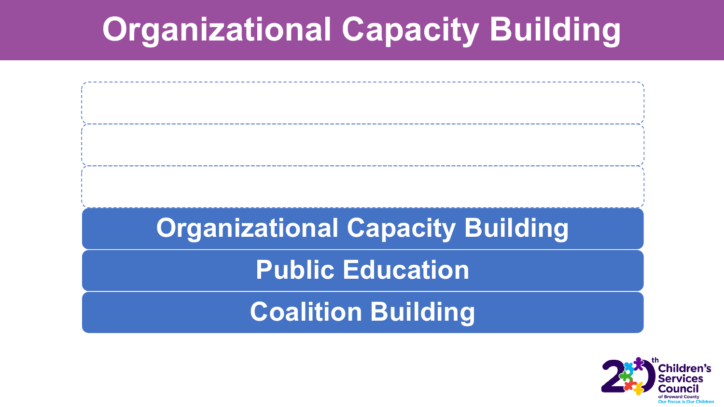# **Organizational Capacity Building**



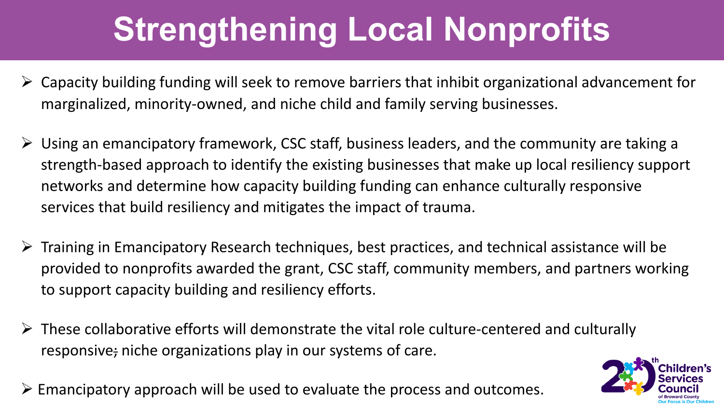# **Strengthening Local Nonprofits**

- $\triangleright$  Capacity building funding will seek to remove barriers that inhibit organizational advancement for marginalized, minority-owned, and niche child and family serving businesses.
- $\triangleright$  Using an emancipatory framework, CSC staff, business leaders, and the community are taking a strength-based approach to identify the existing businesses that make up local resiliency support networks and determine how capacity building funding can enhance culturally responsive services that build resiliency and mitigates the impact of trauma.
- $\triangleright$  Training in Emancipatory Research techniques, best practices, and technical assistance will be provided to nonprofits awarded the grant, CSC staff, community members, and partners working to support capacity building and resiliency efforts.
- $\triangleright$  These collaborative efforts will demonstrate the vital role culture-centered and culturally responsive; niche organizations play in our systems of care.
- $\triangleright$  Emancipatory approach will be used to evaluate the process and outcomes.

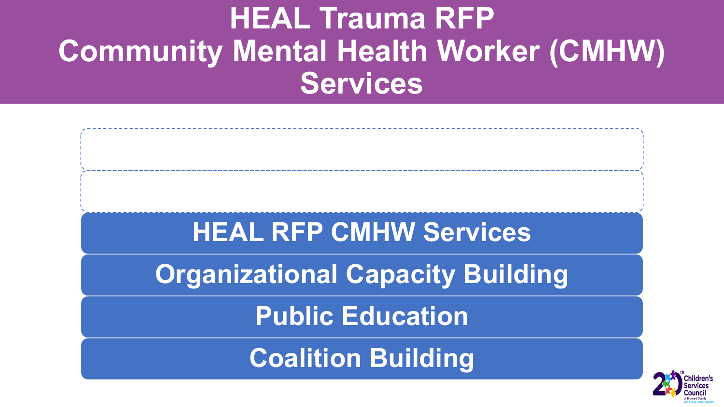#### **HEAL Trauma RFP Community Mental Health Worker (CMHW) Services**

# **HEAL RFP CMHW Services**

**Organizational Capacity Building** 

**Public Education**

**Coalition Building**

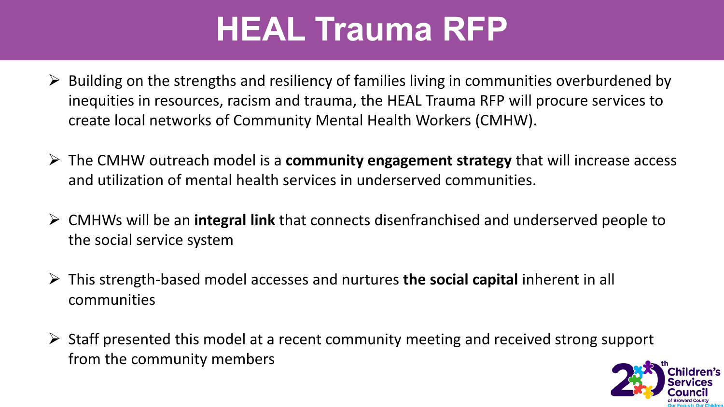# **HEAL Trauma RFP**

- $\triangleright$  Building on the strengths and resiliency of families living in communities overburdened by inequities in resources, racism and trauma, the HEAL Trauma RFP will procure services to create local networks of Community Mental Health Workers (CMHW).
- The CMHW outreach model is a **community engagement strategy** that will increase access and utilization of mental health services in underserved communities.
- CMHWs will be an **integral link** that connects disenfranchised and underserved people to the social service system
- This strength-based model accesses and nurtures **the social capital** inherent in all communities
- $\triangleright$  Staff presented this model at a recent community meeting and received strong support from the community members

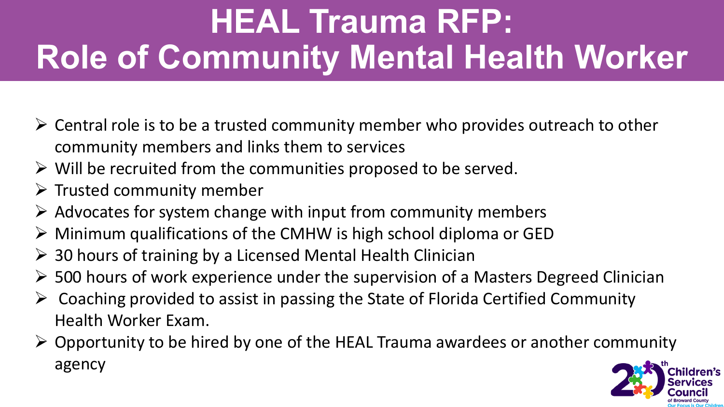# **HEAL Trauma RFP: Role of Community Mental Health Worker**

- $\triangleright$  Central role is to be a trusted community member who provides outreach to other community members and links them to services
- $\triangleright$  Will be recruited from the communities proposed to be served.
- $\triangleright$  Trusted community member
- $\triangleright$  Advocates for system change with input from community members
- $\triangleright$  Minimum qualifications of the CMHW is high school diploma or GED
- $\geq$  30 hours of training by a Licensed Mental Health Clinician
- $\geq$  500 hours of work experience under the supervision of a Masters Degreed Clinician
- $\triangleright$  Coaching provided to assist in passing the State of Florida Certified Community Health Worker Exam.
- $\triangleright$  Opportunity to be hired by one of the HEAL Trauma awardees or another community agency

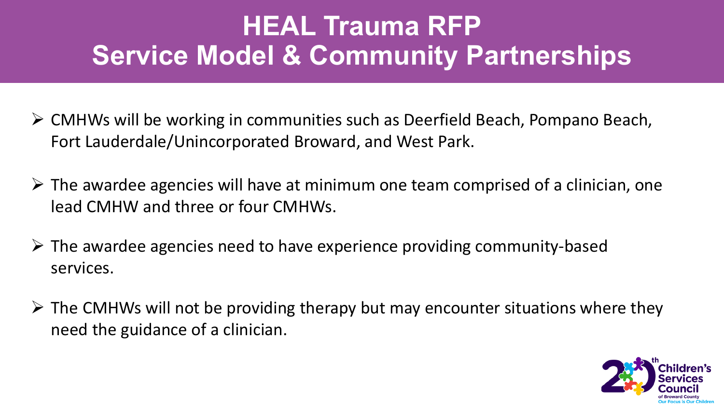#### **HEAL Trauma RFP Service Model & Community Partnerships**

- CMHWs will be working in communities such as Deerfield Beach, Pompano Beach, Fort Lauderdale/Unincorporated Broward, and West Park.
- $\triangleright$  The awardee agencies will have at minimum one team comprised of a clinician, one lead CMHW and three or four CMHWs.
- $\triangleright$  The awardee agencies need to have experience providing community-based services.
- $\triangleright$  The CMHWs will not be providing therapy but may encounter situations where they need the guidance of a clinician.

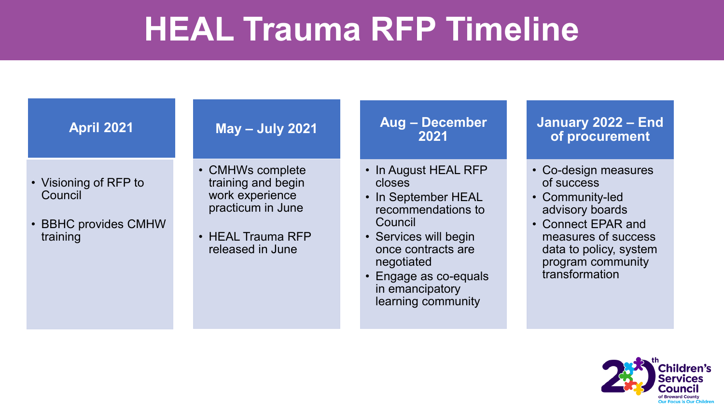### **HEAL Trauma RFP Timeline**

| <b>April 2021</b>                                                    | <b>May - July 2021</b>                                                                                                  | <b>Aug - December</b><br>2021                                                                                                                                                                   | January 2022 - End<br>of procurement                                                                                                                                                   |
|----------------------------------------------------------------------|-------------------------------------------------------------------------------------------------------------------------|-------------------------------------------------------------------------------------------------------------------------------------------------------------------------------------------------|----------------------------------------------------------------------------------------------------------------------------------------------------------------------------------------|
| • Visioning of RFP to<br>Council<br>• BBHC provides CMHW<br>training | • CMHWs complete<br>training and begin<br>work experience<br>practicum in June<br>• HEAL Trauma RFP<br>released in June | • In August HEAL RFP<br>closes<br>• In September HEAL<br>recommendations to<br>Council<br>• Services will begin<br>once contracts are<br>negotiated<br>• Engage as co-equals<br>in emancipatory | • Co-design measures<br>of success<br>• Community-led<br>advisory boards<br>• Connect EPAR and<br>measures of success<br>data to policy, system<br>program community<br>transformation |
|                                                                      |                                                                                                                         | learning community                                                                                                                                                                              |                                                                                                                                                                                        |

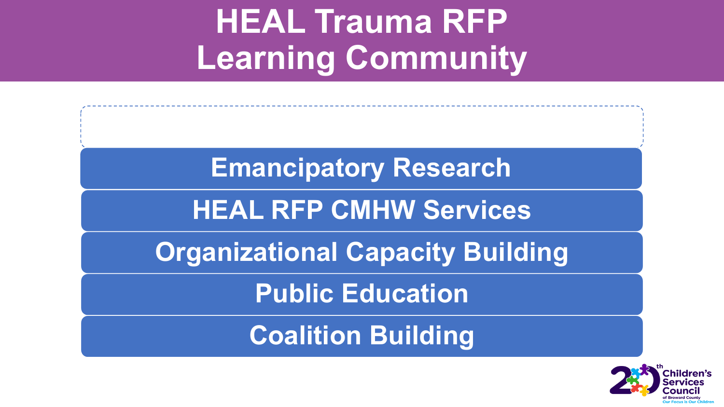# **HEAL Trauma RFP Learning Community**

**Emancipatory Research**

#### **HEAL RFP CMHW Services**

**Organizational Capacity Building** 

**Public Education**

**Coalition Building**

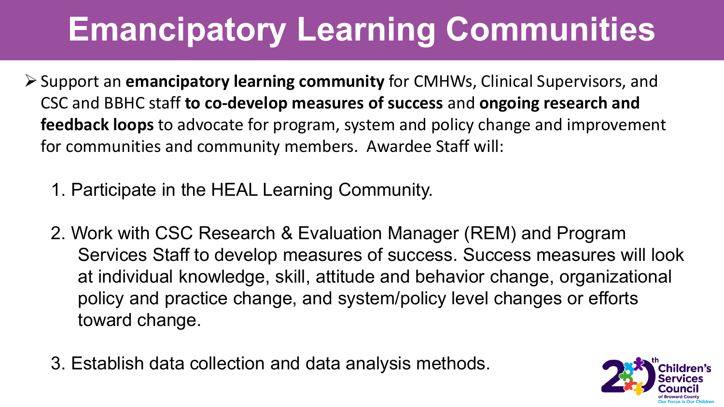# **Emancipatory Learning Communities**

- Support an **emancipatory learning community** for CMHWs, Clinical Supervisors, and CSC and BBHC staff **to co-develop measures of success** and **ongoing research and feedback loops** to advocate for program, system and policy change and improvement for communities and community members. Awardee Staff will:
	- 1. Participate in the HEAL Learning Community.
	- 2. Work with CSC Research & Evaluation Manager (REM) and Program Services Staff to develop measures of success. Success measures will look at individual knowledge, skill, attitude and behavior change, organizational policy and practice change, and system/policy level changes or efforts toward change.
	- 3. Establish data collection and data analysis methods.

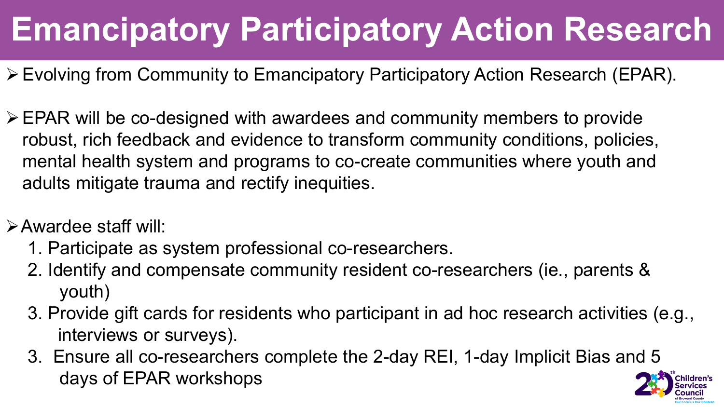# **Emancipatory Participatory Action Research**

- Evolving from Community to Emancipatory Participatory Action Research (EPAR).
- $\triangleright$  EPAR will be co-designed with awardees and community members to provide robust, rich feedback and evidence to transform community conditions, policies, mental health system and programs to co-create communities where youth and adults mitigate trauma and rectify inequities.
- Awardee staff will:
	- 1. Participate as system professional co-researchers.
	- 2. Identify and compensate community resident co-researchers (ie., parents & youth)
	- 3. Provide gift cards for residents who participant in ad hoc research activities (e.g., interviews or surveys).
	- 3. Ensure all co-researchers complete the 2-day REI, 1-day Implicit Bias and 5 days of EPAR workshops